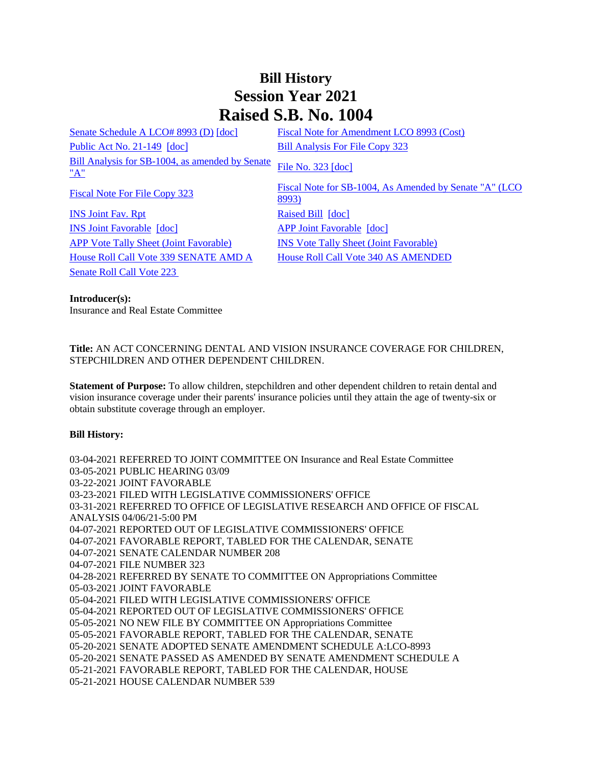## **Bill History Session Year 2021 Raised S.B. No. 1004**

[Senate Schedule A LCO# 8993 \(D\)](/2021/amd/S/pdf/2021SB-01004-R00SA-AMD.pdf) [\[doc\]](https://search.cga.state.ct.us/dl2021/AMD/doc/2021SB-01004-R00SA-AMD.docx) Fiscal Note for Amendment LCO 8993 (Cost) [Public Act No. 21-149](/2021/ACT/PA/PDF/2021PA-00149-R00SB-01004-PA.PDF) [\[doc\]](https://search.cga.state.ct.us/dl2021/PA/DOC/2021PA-00149-R00SB-01004-PA.DOCX) [Bill Analysis For File Copy 323](/2021/BA/PDF/2021SB-01004-R000323-BA.PDF) [Bill Analysis for SB-1004, as amended by Senate](/2021/BA/PDF/2021SB-01004-R01-BA.PDF)   $\frac{\text{BIII} \text{ Analysis 10I} \text{ SD} - 1004}{\text{N}}$ , as amended by Senate [File No. 323](/2021/FC/PDF/2021SB-01004-R000323-FC.PDF) [\[doc\]](/2021/FC/PDF/2021SB-01004-R000323-FC.PDF) [Fiscal Note For File Copy 323](/2021/FN/PDF/2021SB-01004-R000323-FN.PDF) Fiscal Note for SB-1004, As Amended by Senate "A" (LCO [8993\)](/2021/FN/PDF/2021SB-01004-R01-FN.PDF) **[INS Joint Fav. Rpt](/2021/JFR/S/PDF/2021SB-01004-R00INS-JFR.PDF)** [Raised Bill](/2021/TOB/S/PDF/2021SB-01004-R00-SB.PDF) [\[doc\]](https://search.cga.state.ct.us/dl2021/TOB/DOC/2021SB-01004-R00-SB.DOCX) [INS Joint Favorable](/2021/TOB/S/PDF/2021SB-01004-R01-SB.PDF) [\[doc\]](https://search.cga.state.ct.us/dl2021/TOB/DOC/2021SB-01004-R01-SB.DOCX) [APP Joint Favorable](/2021/TOB/S/PDF/2021SB-01004-R02-SB.PDF) [\[doc\]](https://search.cga.state.ct.us/dl2021/TOB/DOC/2021SB-01004-R02-SB.DOCX) [APP Vote Tally Sheet \(Joint Favorable\)](/2021/TS/S/PDF/2021SB-01004-R00APP-CV67-TS.PDF) [INS Vote Tally Sheet \(Joint Favorable\)](/2021/TS/S/PDF/2021SB-01004-R00INS-CV37-TS.PDF) [House Roll Call Vote 339 SENATE AMD A](/2021/VOTE/H/PDF/2021HV-00339-R00SB01004-HV.PDF) [House Roll Call Vote 340 AS AMENDED](/2021/VOTE/H/PDF/2021HV-00340-R00SB01004-HV.PDF)  [Senate Roll Call Vote 223](/2021/VOTE/S/PDF/2021SV-00223-R00SB01004-SV.PDF) 

**Introducer(s):** Insurance and Real Estate Committee

**Title:** AN ACT CONCERNING DENTAL AND VISION INSURANCE COVERAGE FOR CHILDREN, STEPCHILDREN AND OTHER DEPENDENT CHILDREN.

**Statement of Purpose:** To allow children, stepchildren and other dependent children to retain dental and vision insurance coverage under their parents' insurance policies until they attain the age of twenty-six or obtain substitute coverage through an employer.

## **Bill History:**

03-04-2021 REFERRED TO JOINT COMMITTEE ON Insurance and Real Estate Committee 03-05-2021 PUBLIC HEARING 03/09 03-22-2021 JOINT FAVORABLE 03-23-2021 FILED WITH LEGISLATIVE COMMISSIONERS' OFFICE 03-31-2021 REFERRED TO OFFICE OF LEGISLATIVE RESEARCH AND OFFICE OF FISCAL ANALYSIS 04/06/21-5:00 PM 04-07-2021 REPORTED OUT OF LEGISLATIVE COMMISSIONERS' OFFICE 04-07-2021 FAVORABLE REPORT, TABLED FOR THE CALENDAR, SENATE 04-07-2021 SENATE CALENDAR NUMBER 208 04-07-2021 FILE NUMBER 323 04-28-2021 REFERRED BY SENATE TO COMMITTEE ON Appropriations Committee 05-03-2021 JOINT FAVORABLE 05-04-2021 FILED WITH LEGISLATIVE COMMISSIONERS' OFFICE 05-04-2021 REPORTED OUT OF LEGISLATIVE COMMISSIONERS' OFFICE 05-05-2021 NO NEW FILE BY COMMITTEE ON Appropriations Committee 05-05-2021 FAVORABLE REPORT, TABLED FOR THE CALENDAR, SENATE 05-20-2021 SENATE ADOPTED SENATE AMENDMENT SCHEDULE A:LCO-8993 05-20-2021 SENATE PASSED AS AMENDED BY SENATE AMENDMENT SCHEDULE A 05-21-2021 FAVORABLE REPORT, TABLED FOR THE CALENDAR, HOUSE 05-21-2021 HOUSE CALENDAR NUMBER 539